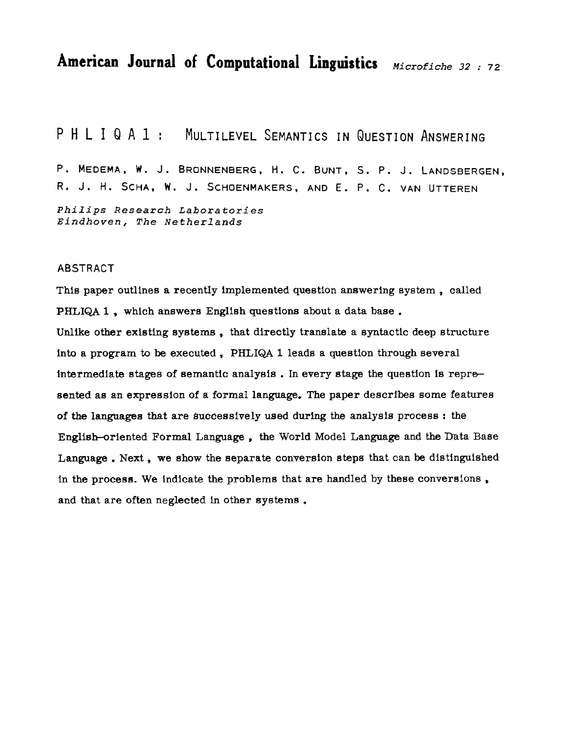# P H L I Q A 1: MULTILEVEL SEMANTICS IN QUESTION ANSWERING

P. **MEDEMA, W.** J. **BRONNENBERG,** H. **C.** BUNT. **5.** P. J. **LANDSBERGEN, R,** J. **H. SCHA, W.** J. **SCHOENMAKERS, AND E.** P. c. **VAN UTTEREN Philips** *Research Laboratories Eindhoven,* **The Netherlands** 

## **ABSTRACT**

**This paper outlinee a recently implemented que~tion answering system** , **called PHLIQA 1** , **which answers English questions about a data base** . **Unlike other existing aysteme** , **that directly tramlate a syntactic deep structure**  into **a** program to **be executed, PHLIQA 1 leads** a **question** through **several intermediate etages of semantic analysis** . **In every stage the question is represented a0 an expression of** a formal **language, The paper describes** aome **features of the languages that are successively used during the analysis process : the English-oriented Formal Language** , **the** World **Model Language and the Data Base Language** . **Next, we ahow the separate conversion steps** that can **be distinguished in the process. We indicate the problems that are handled by these** conversions , **and** that **are** often **neglected in** other **systems.**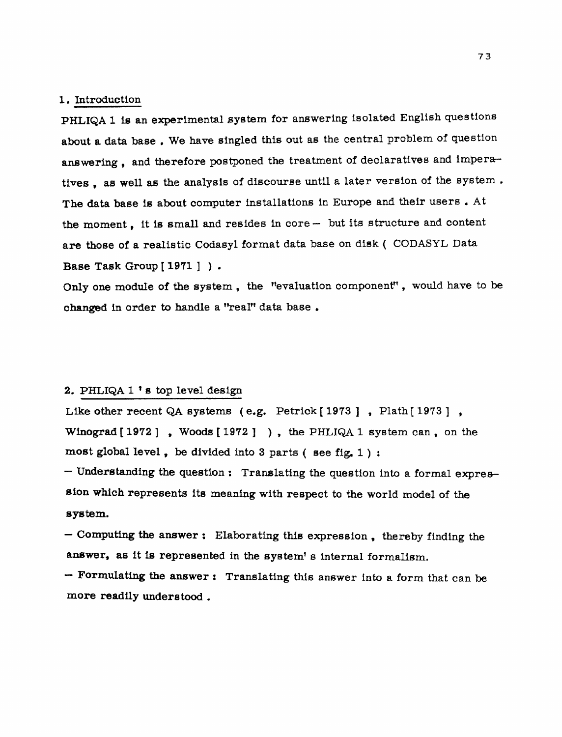### **1.** Introduction

PHLIQA 1 is an experimental system for answering isolated English questions **about** a **data base** . **We have singled this out as** the central **problem of** queation answering, and therefore postponed the treatment of declaratives and impera**tives** , **as well aa the analyak** of **discourse** untll **a** later vereion of the **system** . **The data baee is about** computer installations in **Europe** and their users . **At the moment,** it is small and **resides in core-** but its **structure and** content are **those** of **a** realistic Codagyl format **data base on disk** ( CODASYL **Data Base Task Group** [ **1971** 'J )

**Only one module of the system** , the **wevaluation** componenVT , would **have** to **be**  changed in order to handle a **'real''** data base.

## **2, PELIQA 1** ' **e top level design**

Like other recent QA systems (e.g. Petrick [1973], Plath [1973], Winograd 1 **1972** ] , **Woo&** [ **1972** ] ) , **the** PHLIQA **1 system** can , **on the most global level** , **be divided** into **3 parts** ( **aee** fig. **1** ) :

-- **Underetandtng the question** : Translating the **question** into **a** formal **expreesion which represents its** meaning **with respect to the world model of** the - **Computing the answer** : **Elaborating this expreseion** , **thereby** finding the

**answer,** it **is repreeented in the system' s** internal formalism.

-- **Formulating the answer** : **Translating this answer** into **a** form that can **be**  more **readily under8 toad** .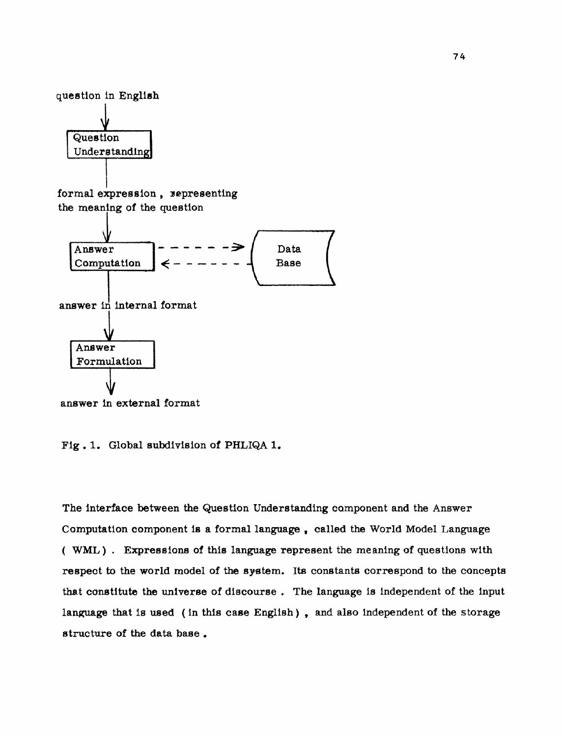

**answer in external format** 

**Fig** . **1. Global subdivision of PHLIQA 1,** 

**The interface between the Question understanding component and the Answer Computation component 1s a** formal **language** , **called the** World **Model Language**  ( **WML)** . **Expressions of** this **language represent** the meaning **of questions with respect to the world model of the system. Its constants correspond to the concepts** that **canstitute** the **universe** of discourse . **The language is independent of the input**  language that **ie udled** ( **in this case English)** , **and also independent of the storage structure of the data base.**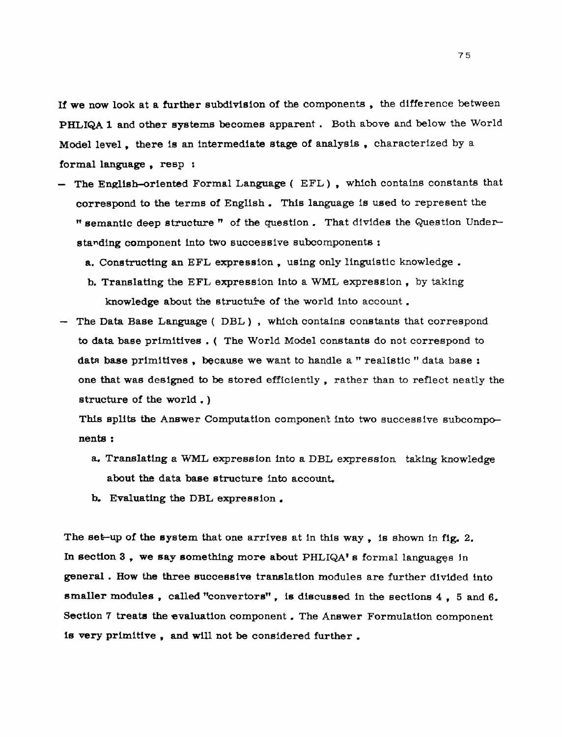If we now look at a further subdivision of the components, the difference between **PHLIQA 1 and other systems becornea** apparent . Both **above and below** the World **Model level, there is an** intermediate **stage of analysis** , characterized **by** <sup>a</sup> formal **language** , **resp** <sup>r</sup>

- The English-oriented Formal Language ( <code>EFL</code> ), which contains constants that **correspond** to **the terms of English, This language is wed to** represent the **"** semantic deep structure " of the question. That divides the Question Understanding component into two successive subcomponents :
	- **a. Constructing an** EFL **expression** . **using only linguistic knowledge** .
	- **b, Translating the EFL expression into a WML expression,** by taking knowledge about the structure of the world into account.
- The **Data Base Language** ( DBL ) , which contains conatants that correspond to **data base primitives** . ( **The World Model constants do** not **correspond to data base primitives**, because we want to handle a " realistic " data base: **one** that **was designed to be stored efficiently** , **rather** than to reflect **neatly** the **structure of the world** . )

**This splits the Answer** Computation component into **two successive** subcomp\* **nenta** :

- **a. Translating** *a* **WML expression into a** DBL expression taking **knowledge abut** the **data base structure** into **account,**
- **b.** Evaluating the DBL expression.

The set-up of the system that one arrives at in this way, is shown in fig. 2.<br>In section 3, we say something more about  $PHLIQA'$  s formal languages in **general** . **How** the **three succeesive translation modules are further divided** into smaller modules, called "convertors", is discussed in the sections  $4$ ,  $5$  and  $6$ . **Section 7 treats the evaluation component** . **The Answer Formulation component is very primitive** , **and will not be considered further** .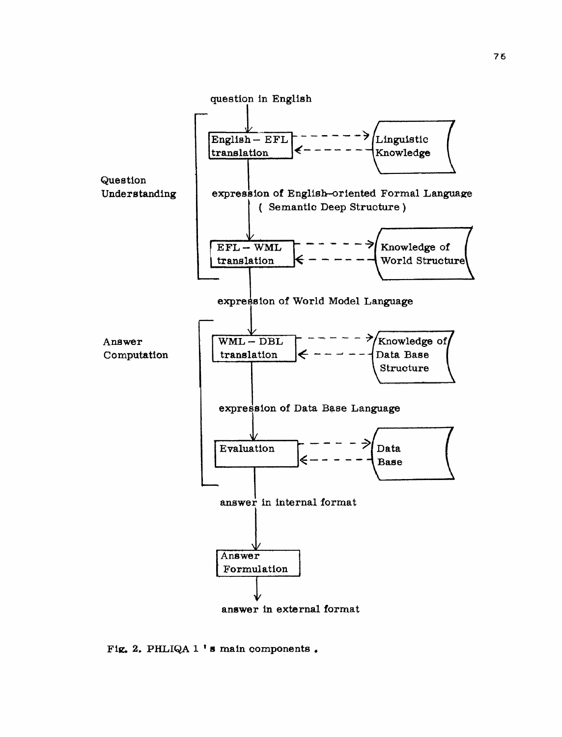

Fig. 2. PHLIQA 1 's main components.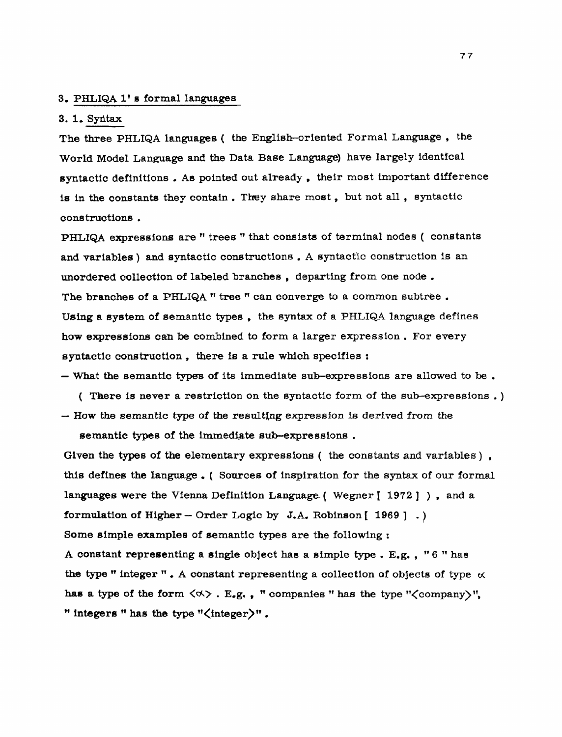#### 3. PHLIQA 1's formal languages

# $3.1.$  Syntax

The three PHLIQA languages (the English-oriented Formal Language, the World Model Language and the Data Base Language) have largely identical syntactic definitions. As pointed out already, their most important difference is in the constants they contain. They share most, but not all, syntactic constructions.

PHLIQA expressions are " trees " that consists of terminal nodes ( constants and variables) and syntactic constructions. A syntactic construction is an unordered collection of labeled branches, departing from one node. The branches of a PHLIQA " tree " can converge to a common subtree. Using a system of semantic types, the syntax of a PHLIQA language defines how expressions can be combined to form a larger expression. For every syntactic construction, there is a rule which specifies :

- What the semantic types of its immediate sub-expressions are allowed to be.

(There is never a restriction on the syntactic form of the sub-expressions.) - How the semantic type of the resulting expression is derived from the

semantic types of the immediate sub-expressions.

Given the types of the elementary expressions ( the constants and variables), this defines the language. (Sources of inspiration for the syntax of our formal languages were the Vienna Definition Language (Wegner [ 1972 ]), and a formulation of Higher – Order Logic by J.A. Robinson  $[1969]$ .) Some simple examples of semantic types are the following: A constant representing a single object has a simple type. E.g.,  $"6"$  has the type " integer ". A constant representing a collection of objects of type  $\alpha$ has a type of the form  $\langle \alpha \rangle$ . E.g., " companies " has the type " $\langle$  company $\rangle$ ". " integers " has the type " $\langle$  integer $\rangle$ ".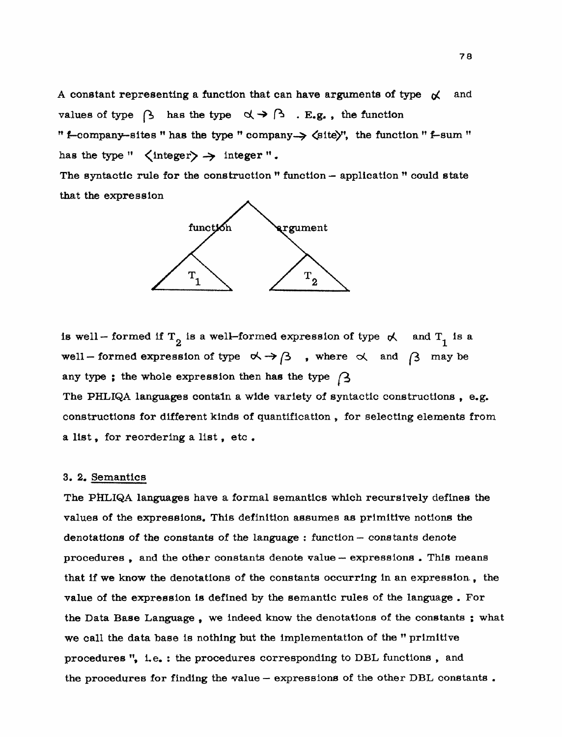A constant representing a function that can have arguments of type  $\chi$  and **values of type**  $\uparrow$  has the type  $\check{\sim}$   $\uparrow$   $\uparrow$  . **E.g.**, the function "**f**-company-sites " has the type " company  $\rightarrow$   $\langle$  site)", the function " **f**-sum " has the type  $"\times\text{integer}\right)\rightarrow\text{integer}''$ .

The syntactic rule for the construction " function - application " could state that **the emreasion** 



**is well** – **formed if**  $T_2$  is a **well**-formed expression of type  $\ltimes$  and  $T_1$  is a **well** – **formed expression of type**  $\alpha \rightarrow \beta$  **, where**  $\alpha$  **and**  $\beta$  **may be** any type ; the whole expression then has the type  $\beta$ 

**The PHLIQA languages** contaln **a wide variety of syntactic constructions** , **e,g. constructions for different kinds of quantification** , **for selecting elements from a list, for reordering a list, etc** ,

#### **3. 2, Semantics**

**The** PaIQA **language8 have a formal semantics which recursively defines the values of the expressions, This definition assumes as primitive nations the denotatian~ of the conetants** of **the language** : **function** - *constants* **denote**  procedures, and the other constants denote value – expressions. This means **that if we know** the **denotations of the constants occurring in an expreesion** , **the value of the expression fs defined by the semantic rules of the language** , **For**  tb Data **Base Language** , **we indeed know the denotations of the constants** ; **what we call the data base is nothing but the implementation of the** " **primitive procedure8** ", **t e.** : **the procedures corresponding to DBL functions** , **and**  the procedures for finding the value – expressions of the other DBL constants.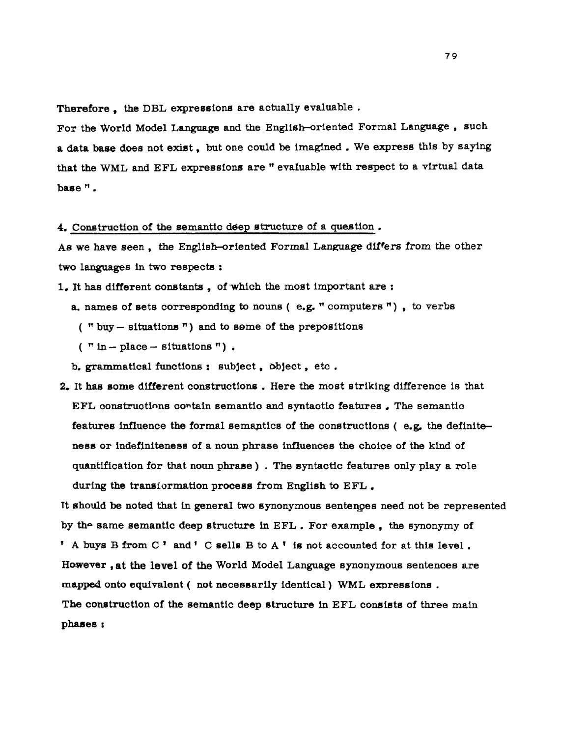**Therefore** , **the DBL expressione are actually evaluable** .

For **the World Model Language and the English-orientad Formal Language** , **such <sup>a</sup>data base does not exiat** , **but** one **could be imagined** . **We express thls by saying**  that the WML and EFL expressions are " evaluable with respect to a virtual data **base** 

**4, Constraction of the semantic deep structure of a question.** 

**As we have seen,** *the* **EnglfsMriented Formal Lmage differ8** from **the** other two languages in two respects :

**1, It has different constants** , **of'whieh the** most **important are <sup>t</sup>**

**a names of sets corresponding to noune** ( **e.g.** \* **computers** ") , to **verbs** 

- ( $"$  **buy** situations") and to some of the prepositions
- $\left($   $\pi$  in place situations  $\pi$ ).

**b. grammatical functions** *t* **subject, object, etc** .

**2,** It **Borne different constructione** . **Here** the **most striking difference is that EFL conekuctinns contain eemantic and syntactic featurea** . **The semantic features influence the formal semagtfca of** the constructlorn ( **e,g, the definitenees or indefiniteness of a** noun **phrase influences the choice of the kfnd of quantification for that noun phrase** ) . **The syntactic features only play a role during the tranaiormatian process** from **English to EFL** .

It should be noted that in general two synonymous sentences need not be represented by the same semantic deep structure in EFL. For example, the synonymy of **<sup>A</sup>buys B** from **C and C sells B** to **A is not accounted for at tbia level** . **Hwever ,at the level of** the **World Model Language** synonymous **sentences are mapped onto equivalent** ( **not necesaarilg identical** ) **WML emrerssr iom** . **The construction of the semantic deep** structure **in EFL consists of three** main **phanes** r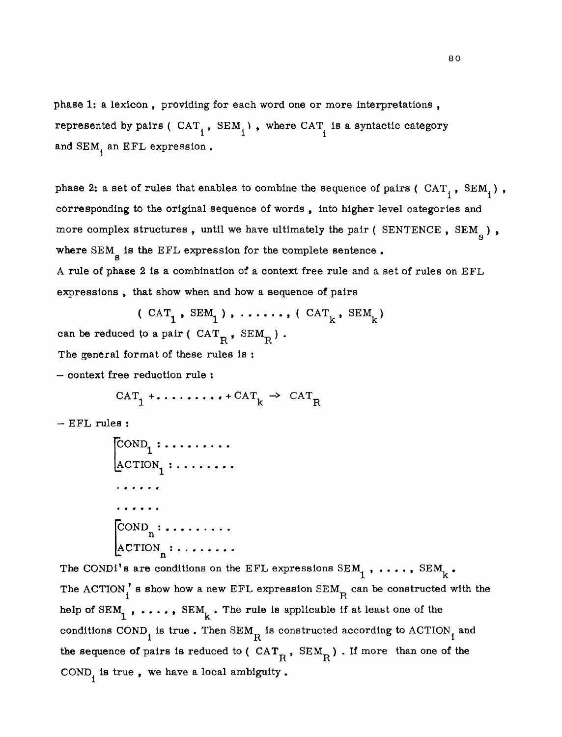**phase 1:** a **lexicon** , providing for each **word** one or more interpretations , represented by pairs (  $\text{CAT}_{i}$  ,  $\text{SEM}_{i}$  ), where  $\text{CAT}_{i}$  is a syntactic category and SEM<sub>1</sub> an EFL expression.

**phase 2: a set of rules that enables to combine the sequence of pairs (** $CAT_i$ **,**  $SEM_i$ **),** corresponding to the original **sequence** of words , into **higher** level categories and more complex structures, until we have ultimately the pair ( SENTENCE, SEM<sub>g</sub>), where SEM<sub>a</sub> is the EFL expression for the complete sentence. **A** rule **of phase** 2 **is a** combination of a context free rule and a set of rules on EFL **expressions** , that show when and **how** a sequence of pairs

$$
(\text{CAT}_{1}, \text{SEM}_{1}), \ldots, (\text{CAT}_{k}, \text{SEM}_{k})
$$
  
can be reduced to a pair (CAT<sub>R</sub>, SEM<sub>R</sub>).  
The general format of these rules is :  
– context free reduction rule :

$$
CAT_{1} + \dots + \dots + CAT_{k} \rightarrow CAT_{R}
$$

- **EFL rules** :

```
\begin{bmatrix} \textrm{COND}_1 : \ldots : \ldots : \ldots \\ \textrm{ACTION}_1 : \ldots : \ldots : \ldots \end{bmatrix}. . . . . .
```
 $\begin{bmatrix} \text{COND}_n : \dots : \dots \\ \text{ACTION}_n : \dots : \dots \end{bmatrix}$ <br>The CONDi's are conditions on the EFL expressions SEM<sub>1</sub>, ..., SEM<sub>k</sub>. The ACTION<sup>'</sup> is show how a new EFL expression SEM<sub>R</sub> can be constructed with the help of  $SEM_1$ , ...,  $SEM_k$ . The rule is applicable if at least one of the conditions COND<sub>1</sub> is true. Then SEM<sub>R</sub> is constructed according to ACTION<sub>1</sub> and the sequence of pairs is reduced to ( $CAT_{D}$ ,  $SEM_{D}$ ). If more than one of the  $R$ <sup>,  $GL_{m}R$ </sup> COND<sub>1</sub> is true, we have a local ambiguity.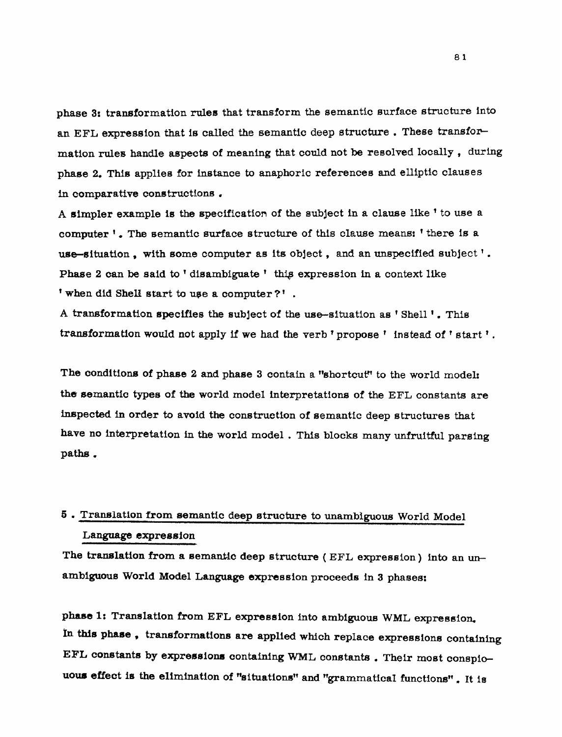**phase 3: transformation rules that transform the semantic surface structure** into an EFL expression that is called the semantic deep structure. These transfor**mation rules handle aspecte of meaning** that **could not be resolved** locally , **during phase 2. This applies** for **Instance to anaphoric references and elllptic clauses**  in comparative constructions.

**A ~impler example is the specification of the subject in a clauae like** ' **to uee a computer** ', **The eemantic surface structure of this clause means:** there **is <sup>a</sup> use-situation**. with some computer as its object, and an unspecified subject  $\cdot$ . Phase 2 can be said to 'disambiguate' this expression in a context like ' **when did Shell start** to **qe a computer** 3 .

**A transformation specifies the subject of the use-situation as Shell** '. This **transformation would not apply** if **we had** the **verb propose instead of** start ' .

**The condition8 of phase 2 and phase 3** contain a **rkhortcuV' to** the **world** model1 the **semantic types of** the **world model interpretations of** the EFL congtants **are inspected in order** to **avoid the construction of semantic deep e tructures** that **have no interpretation in the world model** . This **blocks** many unfruitful **parsing paths.** 

# **<sup>5</sup>**. **Translation from semantic deep structure to unambiguous World Model Language expression**

**The translation from a semantic deep structure** ( EFL **expraseion** ) into **an** un**arnbiguoua World Model Language expmsarion proceeds in 3 phases1** 

**phase 1s Translation from EFL expression Into ambiguous** WML **expression. <sup>b</sup>tbls phase** , **traneformations are applied which replace expressions containing**  EFL constants by expressions containing WML constants . Their most conspio**uous effect is the elimination of "situations" and "grammatical functions".** It is

81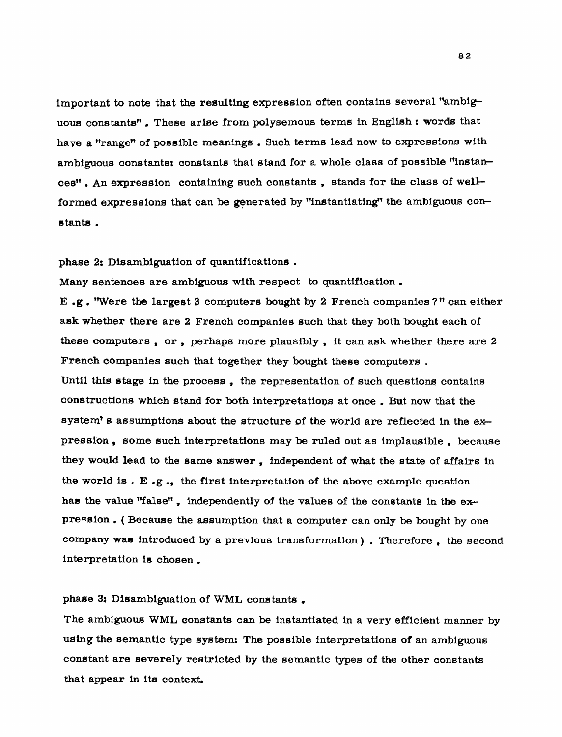**important to note that the resulting expreseion** often **contains several "ambiguous constantsW, These ariae from polyeemous brms in English** r **words that have a "range1? of posaible** meanings . **Such terms lead now to expressions with**  ambiguous constants: constants that stand for a whole class of possible "instan**cesT'** . **An expression containing such constants** , **stands for the class of wellr formed expressions that can be generated by 'Ymtantlating" the** ambiguous **cow stants** .

**phase 2% Disambiguation of quantification^** .

**Many sentences are ambiguous with respect to quantification** , **<sup>E</sup>.g** . Were **the largest 3 computers bought by 2 French companies** ? **can either ask whether there are 2 French companies such that they both bought each of these computers** , **or, perhaps more plausibly** , **it can ask whether there are 2 French companies such** that **together they bought these computers** . **Until thie stage** in **the process** , **the representation of such questions contains constructions which stand for both interpretatiow at once** . **But now that the**  system' **8 assumptions about the structure sf the world are reflected** In **the expression, some such interpretations may be ruled out as implausible** , **because they would lead to the same answer** , **independent of what the atate of affairs in the world is** . **<sup>E</sup>,g** ., **the first interpretation of the above example question has the value 'YalseW** , **independently of the values of the constants in the expreaeion** . ( **Because the assumption that a computer can only be** bought **by one**  company was introduced by a previous transformation ) . Therefore, the second **interpretation is chosen,** 

#### phase 3: Disambiguation of WML constants.

**The ambiguous WML constants can be instantiated in a very efficient manner by using the semantic type system: The possible interpretations of an ambiguous comtant are severely restricted by the semantic types of the other constants that appear in it8 context,** 

82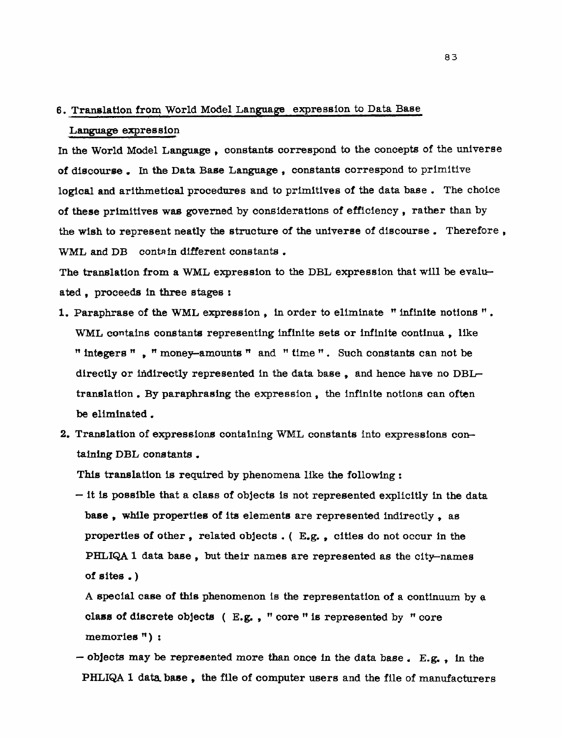# **6. Tramlation from World Model Lanwge expression** to **Data Base**

#### Language expression

**In the World Model Language** , **constants correspond to the concepts of the universe of discourse, In the Data Base Language, conatants correspond** to primitive **logical and arithmetical procedures and to primitives of the data base** . **The choice of these primitives was governed by coneiderations of efficiency, rather than by the wish to represent neatly** the **structure of the univeree of discourse. Therefore** , WML and DB contain different constants.

**The translation from a WML expression to the DBL expression that will be evaluated, proceeb in** three **stages** :

- **1, Paraphrase of the WML expression, in order to eliminate** \* **infinite notions** ". WML contains constants representing infinite sets or infinite continua, like **integer8** \* , \* **moaey~amounts and** ?' time **'l. Such comtants can not be directly or hidirectly represented in the data base** , **and hence have no** DBb **translation.** By paraphrasing the expression, the infinite notions can often **be elirntnated** .
- **2, Translation of** expressions **conklning WML constants** into **expressions** *con*   $taining DBL constants$ ,

**This tranalatlon** is **required by phenomena like the following** :

- **it Ls poasible that a class of objects is not represented explicitly in the data baee** , **while propertlee of ib elementa are represented indirectly, as properties of other** , **related objects** , ( **E.g.** , **cities do not occur in the PHLIC&Il data base** , **but their names are represented as the ciwnarnes of sites** . )

**A special case of this phenomenon ie the representation of a continuum by a class of discrete objects ( E.g., " core " is represented by " core memories** ") **<sup>t</sup>**

-- **objects may be represented more than once in the data base. E.g.** , **in the PHLIQA 1 database, the** flle **of computer users and the file of manufacturers**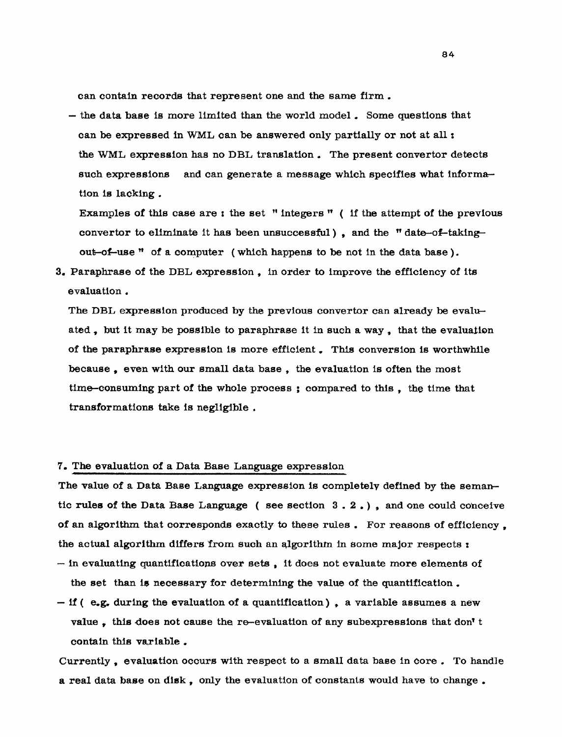**can** contain records **that** represent **one and** the **same** firm.

-- **the data** baee is more limited **than the world** model . Some questions **that**  can be **expreased** in WML **can** be **answered only** partially or not at all r the WML expression has no DBL translation. The present convertor detects **such expressions and can generate** a **message which** specifies what information **ia lacking** .

Examples of this **caae** are *r* the set '' integers '\* ( if the attempt of **the** previous convertor to eliminate it has been unsuccessful), and the "date-of-taking**out-of-use**  $*$  of a computer (which happens to be not in the data base).

3. Paraphrase of the DBL expression, in order to improve the efficiency of its evaluation .

**The** DBL expression produced by the previous **convertor** can **already** be evaluated, but it may be possible to paraphrase it in such a way, that the evaluation of **the** paraphrase expression is more efficient, **This** conversion is worthwhile **because** , even with our **small** data **base** , the evaluation **is often** the **most**  time-consuming part of the whole process ; **compared** to **thie** , the **time** that transformations take is negligible .

#### **7. The evaluation of a Data Base Language** expression

The value of a Data Base Language expression is completely defined by the semantic **rules** of the **Data Base** Language ( **see** section 3 . 2 . ) , and one **could** cohceive of an algorithm that **corresponds exactly** to **these rules** . For **reasons** of efficiency, the actual **algorithm** differs from such an qlgorithm in **some major respects** *<sup>r</sup>*

- $-$  in evaluating quantifications over sets, it does not evaluate more elements of the sat **than** ie **necessary** for **determining the value** of the **quantification** . - **if** ( **e-g. during** the evaluation of a quantification) , a variable **assumes** a new
- value , this **doe8** not **cause the,** re-evaluation of any subexpressions that don\* t **contain** this variable .

Currently, evaluation occurs with respect to a small data base in core. To handle a real data base on disk, only the evaluation of constants would have to change.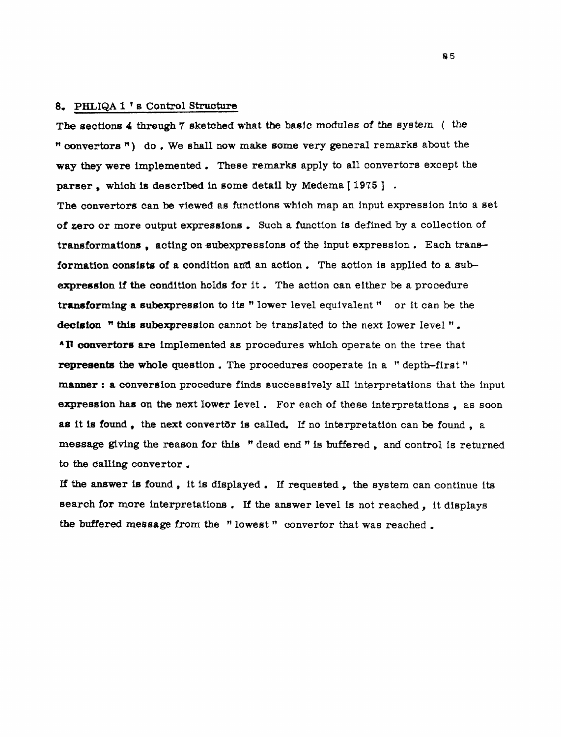# 8. PHLIQA 1's Control Structure

**The sections 4** thmugh **7 sketched what the basic modulea** of the system ( the **convertors** ") **do** . **We shall now make some very general** rernarh **about** the **way they were implemented** . **These** remark **apply to all** convertors **except** the **parser, whioh is described in some detail by Medema** [ **1975** ] .

**The convertors** can **be viewed as** functiong **which map an** input **expression** into a **set of zero or** more **output expressions** . **Such a** function **fa defined by a collection,** of **transformations** , **acting on subexpresslons of the input expression** . **Each** tr&aaformation consists of a condition and an action. The action is applied to a sub**expression if the condition holde** for it . **The** action can either be **a procedure transforming a subexpression to its " lower level equivalent " or it can be the decision <sup>n</sup>** this subexpression cannot be translated to the next lower level ". **"I1 convertore are implemented as procedures which** operate on the tree that **represents the whole question. The procedures cooperate in a " depth-first "** manner : a conversion procedure finds successively all interpretations that the input **expression haa** on **the** next **lower level** . **Far each of theae Interpretations** , **as soon as** it **is found, the next** convertbr **ie called.** If **no** interpretation can **be found,** a message giving the reason for this "dead end " is buffered, and control is returned **to the calling convertor** ,

**If the answer fs found,** it **is displayed. If** requested, **the** ayatem can continue **its search for more interpretatlorn** . **If the answer level is** not **reached** , it **displays the buffered message** from **the** " **lowest** " convertor that was **reached** ,

85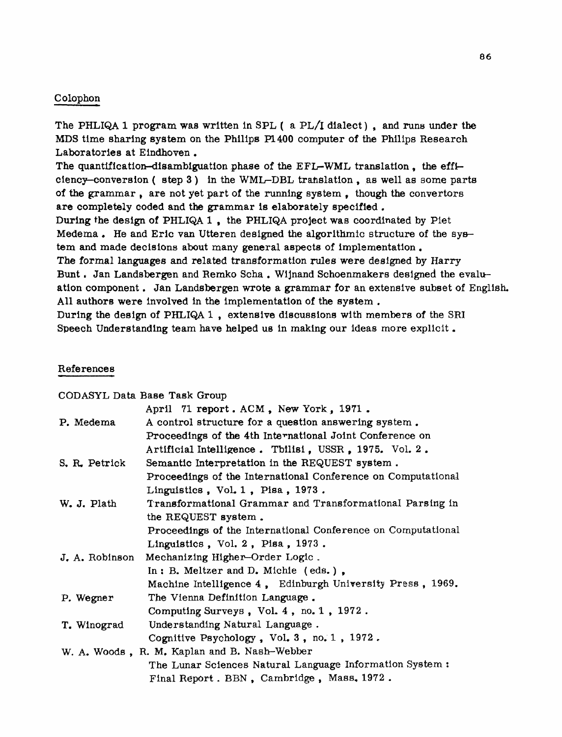## Colophon

The PHLIQA 1 **program** was written in SPL ( a PL/1 dialect) , and **runs under the MDS** time sharing **system** on the Philips **Pl.400** computer of **the** Philips Research Laboratories at Eindhoven .

The quantification-disambiguation phase of the EFL-WML translation, the efficiency-conVersion ( step **3** ) in the WML-DBL translation , as well as some parts of **the grammar** , are not yet part of the running system , though **the** convertors **are complekly coded and** the grammar is elaborately specified. **During the** design of **PHLIQA** <sup>1</sup>, the PHLIQA project **was** coordinated by Piet Medema . He and **Eric** van **Utteren** deaigned **the** algorithmic structure of the aye- $T$ he formal languages and related transformation rules were designed by Harry **Bunt** . Jan Landabergen and **Remko** Scha . Wijnand Schoenmakera deaigned **the** evaluation component. Jan Landsbergen **wrote** a grammar for an extensive subset of English All **author6 were** involved in **the** implementation of the system . During the design of PHLIQA 1 , exteneiva discussione with members of the SRI Speech Understanding team have helped us in making our ideas more explicit.

#### References

|                                              | CODASYL Data Base Task Group                                 |
|----------------------------------------------|--------------------------------------------------------------|
|                                              | April 71 report. ACM, New York, 1971.                        |
| P. Medema                                    | A control structure for a question answering system.         |
|                                              | Proceedings of the 4th International Joint Conference on     |
|                                              | Artificial Intelligence. Tbilisi, USSR, 1975. Vol. 2.        |
| S. R. Petrick                                | Semantic Interpretation in the REQUEST system.               |
|                                              | Proceedings of the International Conference on Computational |
|                                              | Linguistics, Vol. 1, Pisa, 1973.                             |
| W. J. Plath                                  | Transformational Grammar and Transformational Parsing in     |
|                                              | the REQUEST system.                                          |
|                                              | Proceedings of the International Conference on Computational |
|                                              | Linguistics, Vol. 2, Pisa, 1973.                             |
| J. A. Robinson                               | Mechanizing Higher-Order Logic.                              |
|                                              | In : B. Meltzer and D. Michie (eds.),                        |
|                                              | Machine Intelligence 4, Edinburgh University Press, 1969.    |
| P. Wegner                                    | The Vienna Definition Language.                              |
|                                              | Computing Surveys, Vol. 4, no. 1, 1972.                      |
| T. Winograd                                  | Understanding Natural Language.                              |
|                                              | Cognitive Psychology, Vol. $3$ , no. $1$ , 1972.             |
| W. A. Woods, R. M. Kaplan and B. Nash-Webber |                                                              |
|                                              | The Lunar Sciences Natural Language Information System :     |
|                                              | Final Report. BBN, Cambridge, Mass. 1972.                    |